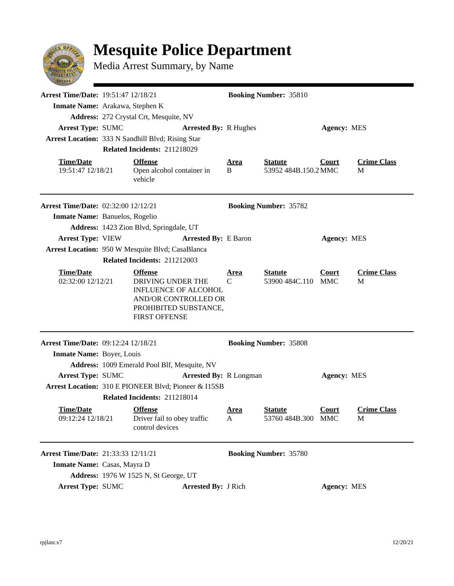## **Mesquite Police Department**



Media Arrest Summary, by Name

| <b>Arrest Time/Date: 19:51:47 12/18/21</b><br>Inmate Name: Arakawa, Stephen K |                                                                                                                                             |                      | <b>Booking Number: 35810</b>           |                    |                         |
|-------------------------------------------------------------------------------|---------------------------------------------------------------------------------------------------------------------------------------------|----------------------|----------------------------------------|--------------------|-------------------------|
|                                                                               | Address: 272 Crystal Crt, Mesquite, NV                                                                                                      |                      |                                        |                    |                         |
| Arrest Type: SUMC                                                             | <b>Arrested By: R Hughes</b>                                                                                                                |                      |                                        | Agency: MES        |                         |
|                                                                               | Arrest Location: 333 N Sandhill Blvd; Rising Star                                                                                           |                      |                                        |                    |                         |
|                                                                               | Related Incidents: 211218029                                                                                                                |                      |                                        |                    |                         |
| <b>Time/Date</b><br>19:51:47 12/18/21                                         | <b>Offense</b><br>Open alcohol container in<br>vehicle                                                                                      | <u>Area</u><br>B     | <b>Statute</b><br>53952 484B.150.2 MMC | Court              | <b>Crime Class</b><br>M |
| <b>Arrest Time/Date: 02:32:00 12/12/21</b>                                    |                                                                                                                                             |                      | <b>Booking Number: 35782</b>           |                    |                         |
| Inmate Name: Banuelos, Rogelio                                                |                                                                                                                                             |                      |                                        |                    |                         |
|                                                                               | Address: 1423 Zion Blvd, Springdale, UT                                                                                                     |                      |                                        |                    |                         |
| <b>Arrest Type: VIEW</b>                                                      | <b>Arrested By: E Baron</b>                                                                                                                 |                      |                                        | <b>Agency: MES</b> |                         |
|                                                                               | Arrest Location: 950 W Mesquite Blvd; CasaBlanca                                                                                            |                      |                                        |                    |                         |
|                                                                               | Related Incidents: 211212003                                                                                                                |                      |                                        |                    |                         |
| <b>Time/Date</b><br>02:32:00 12/12/21                                         | <b>Offense</b><br>DRIVING UNDER THE<br><b>INFLUENCE OF ALCOHOL</b><br>AND/OR CONTROLLED OR<br>PROHIBITED SUBSTANCE,<br><b>FIRST OFFENSE</b> | Area<br>C            | <u>Statute</u><br>53900 484C.110 MMC   | Court              | <b>Crime Class</b><br>M |
| <b>Arrest Time/Date: 09:12:24 12/18/21</b>                                    |                                                                                                                                             |                      | <b>Booking Number: 35808</b>           |                    |                         |
| Inmate Name: Boyer, Louis                                                     |                                                                                                                                             |                      |                                        |                    |                         |
|                                                                               | Address: 1009 Emerald Pool Blf, Mesquite, NV                                                                                                |                      |                                        |                    |                         |
| <b>Arrest Type: SUMC</b>                                                      | <b>Arrested By: R Longman</b>                                                                                                               |                      |                                        | <b>Agency: MES</b> |                         |
|                                                                               | Arrest Location: 310 E PIONEER Blvd; Pioneer & I15SB                                                                                        |                      |                                        |                    |                         |
|                                                                               | Related Incidents: 211218014                                                                                                                |                      |                                        |                    |                         |
| <u>Time/Date</u>                                                              | <b>Offense</b><br>09:12:24 12/18/21 Driver fail to obey traffic<br>control devices                                                          | Area<br>$\mathbf{A}$ | <b>Statute</b><br>53760 484B.300 MMC   | Court              | <b>Crime Class</b><br>M |
| Arrest Time/Date: 21:33:33 12/11/21                                           |                                                                                                                                             |                      | <b>Booking Number: 35780</b>           |                    |                         |
| Inmate Name: Casas, Mayra D                                                   |                                                                                                                                             |                      |                                        |                    |                         |
|                                                                               | Address: 1976 W 1525 N, St George, UT                                                                                                       |                      |                                        |                    |                         |
| <b>Arrest Type: SUMC</b>                                                      | <b>Arrested By: J Rich</b>                                                                                                                  |                      |                                        | <b>Agency: MES</b> |                         |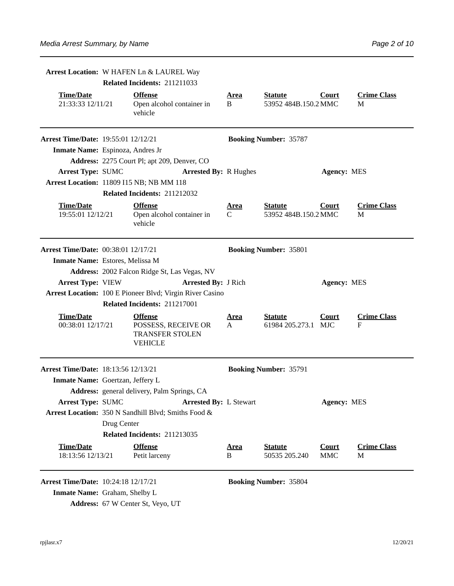|                                            | Arrest Location: W HAFEN Ln & LAUREL Way |                                                                                   |                   |                                        |                     |                         |  |  |
|--------------------------------------------|------------------------------------------|-----------------------------------------------------------------------------------|-------------------|----------------------------------------|---------------------|-------------------------|--|--|
|                                            | Related Incidents: 211211033             |                                                                                   |                   |                                        |                     |                         |  |  |
| <b>Time/Date</b><br>21:33:33 12/11/21      |                                          | <b>Offense</b><br>Open alcohol container in<br>vehicle                            | <u>Area</u><br>B  | <b>Statute</b><br>53952 484B.150.2 MMC | Court               | <b>Crime Class</b><br>M |  |  |
| <b>Arrest Time/Date: 19:55:01 12/12/21</b> |                                          |                                                                                   |                   | <b>Booking Number: 35787</b>           |                     |                         |  |  |
| Inmate Name: Espinoza, Andres Jr           |                                          |                                                                                   |                   |                                        |                     |                         |  |  |
|                                            |                                          | Address: 2275 Court Pl; apt 209, Denver, CO                                       |                   |                                        |                     |                         |  |  |
| <b>Arrest Type: SUMC</b>                   |                                          | <b>Arrested By: R Hughes</b>                                                      |                   |                                        | <b>Agency: MES</b>  |                         |  |  |
|                                            |                                          | Arrest Location: 11809 I15 NB; NB MM 118                                          |                   |                                        |                     |                         |  |  |
|                                            |                                          | Related Incidents: 211212032                                                      |                   |                                        |                     |                         |  |  |
| <b>Time/Date</b><br>19:55:01 12/12/21      |                                          | <b>Offense</b><br>Open alcohol container in<br>vehicle                            | <u>Area</u><br>C. | <b>Statute</b><br>53952 484B.150.2 MMC | Court               | <b>Crime Class</b><br>М |  |  |
| <b>Arrest Time/Date: 00:38:01 12/17/21</b> |                                          |                                                                                   |                   | <b>Booking Number: 35801</b>           |                     |                         |  |  |
| Inmate Name: Estores, Melissa M            |                                          |                                                                                   |                   |                                        |                     |                         |  |  |
|                                            |                                          | Address: 2002 Falcon Ridge St, Las Vegas, NV                                      |                   |                                        |                     |                         |  |  |
| <b>Arrest Type: VIEW</b>                   |                                          | <b>Arrested By: J Rich</b>                                                        |                   |                                        | <b>Agency: MES</b>  |                         |  |  |
|                                            |                                          | Arrest Location: 100 E Pioneer Blvd; Virgin River Casino                          |                   |                                        |                     |                         |  |  |
|                                            |                                          | Related Incidents: 211217001                                                      |                   |                                        |                     |                         |  |  |
| <b>Time/Date</b><br>00:38:01 12/17/21      |                                          | <b>Offense</b><br>POSSESS, RECEIVE OR<br><b>TRANSFER STOLEN</b><br><b>VEHICLE</b> | <u>Area</u><br>A  | <b>Statute</b><br>61984 205.273.1 MJC  | <b>Court</b>        | <b>Crime Class</b><br>F |  |  |
| Arrest Time/Date: 18:13:56 12/13/21        |                                          |                                                                                   |                   | <b>Booking Number: 35791</b>           |                     |                         |  |  |
| Inmate Name: Goertzan, Jeffery L           |                                          |                                                                                   |                   |                                        |                     |                         |  |  |
|                                            |                                          | Address: general delivery, Palm Springs, CA                                       |                   |                                        |                     |                         |  |  |
| <b>Arrest Type: SUMC</b>                   |                                          | <b>Arrested By: L Stewart</b>                                                     |                   |                                        | <b>Agency: MES</b>  |                         |  |  |
|                                            |                                          | Arrest Location: 350 N Sandhill Blvd; Smiths Food &                               |                   |                                        |                     |                         |  |  |
|                                            | Drug Center                              |                                                                                   |                   |                                        |                     |                         |  |  |
|                                            |                                          | Related Incidents: 211213035                                                      |                   |                                        |                     |                         |  |  |
| <b>Time/Date</b><br>18:13:56 12/13/21      |                                          | <b>Offense</b><br>Petit larceny                                                   | <u>Area</u><br>B  | <b>Statute</b><br>50535 205.240        | <b>Court</b><br>MMC | <b>Crime Class</b><br>M |  |  |
| <b>Arrest Time/Date: 10:24:18 12/17/21</b> |                                          |                                                                                   |                   | <b>Booking Number: 35804</b>           |                     |                         |  |  |

**Inmate Name:** Graham, Shelby L

Address: 67 W Center St, Veyo, UT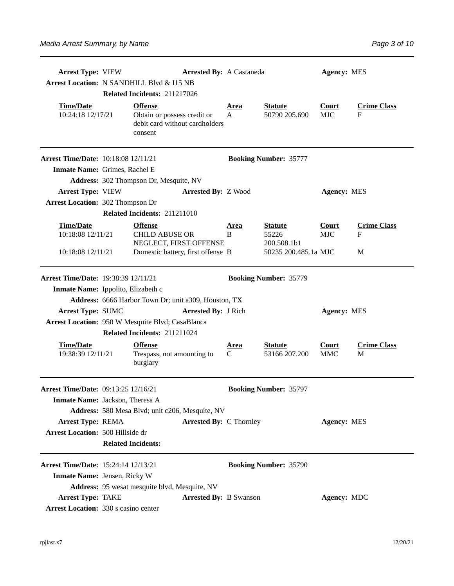| <b>Arrest Type: VIEW</b><br>Arrest Location: N SANDHILL Blvd & I15 NB | Related Incidents: 211217026                                                               | <b>Arrested By: A Castaneda</b> |                  |                                        | <b>Agency: MES</b>         |                         |
|-----------------------------------------------------------------------|--------------------------------------------------------------------------------------------|---------------------------------|------------------|----------------------------------------|----------------------------|-------------------------|
| <b>Time/Date</b><br>10:24:18 12/17/21                                 | <b>Offense</b><br>Obtain or possess credit or<br>debit card without cardholders<br>consent |                                 | <u>Area</u><br>A | <b>Statute</b><br>50790 205.690        | <b>Court</b><br><b>MJC</b> | <b>Crime Class</b><br>F |
| <b>Arrest Time/Date: 10:18:08 12/11/21</b>                            |                                                                                            |                                 |                  | <b>Booking Number: 35777</b>           |                            |                         |
| Inmate Name: Grimes, Rachel E                                         |                                                                                            |                                 |                  |                                        |                            |                         |
|                                                                       | Address: 302 Thompson Dr, Mesquite, NV                                                     |                                 |                  |                                        |                            |                         |
| <b>Arrest Type: VIEW</b>                                              |                                                                                            | <b>Arrested By: Z Wood</b>      |                  |                                        | <b>Agency: MES</b>         |                         |
| <b>Arrest Location: 302 Thompson Dr</b>                               |                                                                                            |                                 |                  |                                        |                            |                         |
|                                                                       | Related Incidents: 211211010                                                               |                                 |                  |                                        |                            |                         |
| <b>Time/Date</b><br>10:18:08 12/11/21                                 | <b>Offense</b><br><b>CHILD ABUSE OR</b><br>NEGLECT, FIRST OFFENSE                          |                                 | <u>Area</u><br>B | <b>Statute</b><br>55226<br>200.508.1b1 | Court<br><b>MJC</b>        | <b>Crime Class</b><br>F |
| 10:18:08 12/11/21                                                     | Domestic battery, first offense B                                                          |                                 |                  | 50235 200.485.1a MJC                   |                            | М                       |
| Arrest Time/Date: 19:38:39 12/11/21                                   |                                                                                            |                                 |                  | <b>Booking Number: 35779</b>           |                            |                         |
| Inmate Name: Ippolito, Elizabeth c                                    |                                                                                            |                                 |                  |                                        |                            |                         |
|                                                                       | Address: 6666 Harbor Town Dr; unit a309, Houston, TX                                       |                                 |                  |                                        |                            |                         |
| Arrest Type: SUMC                                                     |                                                                                            | <b>Arrested By: J Rich</b>      |                  |                                        | <b>Agency: MES</b>         |                         |
| Arrest Location: 950 W Mesquite Blvd; CasaBlanca                      |                                                                                            |                                 |                  |                                        |                            |                         |
|                                                                       | Related Incidents: 211211024                                                               |                                 |                  |                                        |                            |                         |
| <b>Time/Date</b><br>19:38:39 12/11/21                                 | <b>Offense</b><br>Trespass, not amounting to<br>burglary                                   |                                 | Area<br>C        | <b>Statute</b><br>53166 207.200        | Court<br><b>MMC</b>        | <b>Crime Class</b><br>M |
| Arrest Time/Date: 09:13:25 12/16/21                                   |                                                                                            |                                 |                  | <b>Booking Number: 35797</b>           |                            |                         |
| Inmate Name: Jackson, Theresa A                                       |                                                                                            |                                 |                  |                                        |                            |                         |
|                                                                       | Address: 580 Mesa Blvd; unit c206, Mesquite, NV                                            |                                 |                  |                                        |                            |                         |
| <b>Arrest Type: REMA</b>                                              |                                                                                            | <b>Arrested By: C Thornley</b>  |                  |                                        | <b>Agency: MES</b>         |                         |
| Arrest Location: 500 Hillside dr                                      |                                                                                            |                                 |                  |                                        |                            |                         |
|                                                                       | <b>Related Incidents:</b>                                                                  |                                 |                  |                                        |                            |                         |
| Arrest Time/Date: 15:24:14 12/13/21                                   |                                                                                            |                                 |                  | <b>Booking Number: 35790</b>           |                            |                         |
| Inmate Name: Jensen, Ricky W                                          |                                                                                            |                                 |                  |                                        |                            |                         |
|                                                                       | Address: 95 wesat mesquite blvd, Mesquite, NV                                              |                                 |                  |                                        |                            |                         |
| <b>Arrest Type: TAKE</b>                                              |                                                                                            | <b>Arrested By: B Swanson</b>   |                  |                                        | Agency: MDC                |                         |
| <b>Arrest Location: 330 s casino center</b>                           |                                                                                            |                                 |                  |                                        |                            |                         |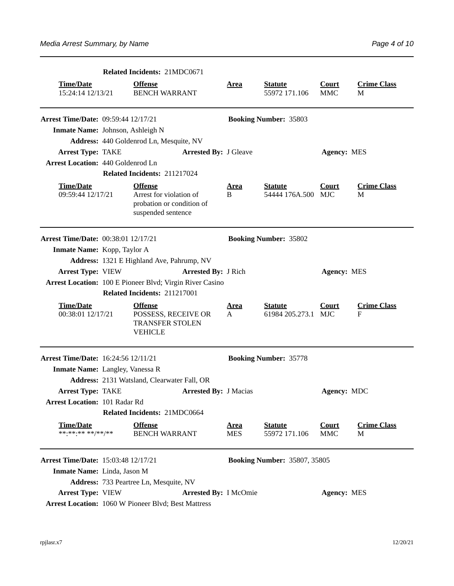|                                            | Related Incidents: 21MDC0671                                                                 |                           |                                       |                            |                         |
|--------------------------------------------|----------------------------------------------------------------------------------------------|---------------------------|---------------------------------------|----------------------------|-------------------------|
| <b>Time/Date</b><br>15:24:14 12/13/21      | <b>Offense</b><br><b>BENCH WARRANT</b>                                                       | <b>Area</b>               | <b>Statute</b><br>55972 171.106       | <b>Court</b><br><b>MMC</b> | <b>Crime Class</b><br>М |
| <b>Arrest Time/Date: 09:59:44 12/17/21</b> |                                                                                              |                           | <b>Booking Number: 35803</b>          |                            |                         |
| Inmate Name: Johnson, Ashleigh N           |                                                                                              |                           |                                       |                            |                         |
|                                            | Address: 440 Goldenrod Ln, Mesquite, NV                                                      |                           |                                       |                            |                         |
| <b>Arrest Type: TAKE</b>                   | <b>Arrested By: J Gleave</b>                                                                 |                           |                                       | <b>Agency: MES</b>         |                         |
| <b>Arrest Location: 440 Goldenrod Ln</b>   |                                                                                              |                           |                                       |                            |                         |
|                                            | Related Incidents: 211217024                                                                 |                           |                                       |                            |                         |
| <b>Time/Date</b><br>09:59:44 12/17/21      | <b>Offense</b><br>Arrest for violation of<br>probation or condition of<br>suspended sentence | <u>Area</u><br>B          | <b>Statute</b><br>54444 176A.500 MJC  | <b>Court</b>               | <b>Crime Class</b><br>M |
| <b>Arrest Time/Date: 00:38:01 12/17/21</b> |                                                                                              |                           | <b>Booking Number: 35802</b>          |                            |                         |
| <b>Inmate Name:</b> Kopp, Taylor A         |                                                                                              |                           |                                       |                            |                         |
|                                            | Address: 1321 E Highland Ave, Pahrump, NV                                                    |                           |                                       |                            |                         |
| <b>Arrest Type: VIEW</b>                   | <b>Arrested By: J Rich</b>                                                                   |                           |                                       | <b>Agency: MES</b>         |                         |
|                                            | Arrest Location: 100 E Pioneer Blvd; Virgin River Casino                                     |                           |                                       |                            |                         |
|                                            | Related Incidents: 211217001                                                                 |                           |                                       |                            |                         |
| <b>Time/Date</b><br>00:38:01 12/17/21      | <b>Offense</b><br>POSSESS, RECEIVE OR<br><b>TRANSFER STOLEN</b><br><b>VEHICLE</b>            | <u>Area</u><br>A          | <b>Statute</b><br>61984 205.273.1 MJC | <b>Court</b>               | <b>Crime Class</b><br>F |
| <b>Arrest Time/Date: 16:24:56 12/11/21</b> |                                                                                              |                           | <b>Booking Number: 35778</b>          |                            |                         |
| <b>Inmate Name:</b> Langley, Vanessa R     |                                                                                              |                           |                                       |                            |                         |
|                                            | Address: 2131 Watsland, Clearwater Fall, OR                                                  |                           |                                       |                            |                         |
| <b>Arrest Type: TAKE</b>                   | <b>Arrested By: J Macias</b>                                                                 |                           |                                       | Agency: MDC                |                         |
| <b>Arrest Location: 101 Radar Rd</b>       |                                                                                              |                           |                                       |                            |                         |
|                                            | Related Incidents: 21MDC0664                                                                 |                           |                                       |                            |                         |
| <b>Time/Date</b><br>******** **/**/**      | <b>Offense</b><br><b>BENCH WARRANT</b>                                                       | <u>Area</u><br><b>MES</b> | <b>Statute</b><br>55972 171.106       | <b>Court</b><br><b>MMC</b> | <b>Crime Class</b><br>М |
| <b>Arrest Time/Date: 15:03:48 12/17/21</b> |                                                                                              |                           | <b>Booking Number: 35807, 35805</b>   |                            |                         |
| Inmate Name: Linda, Jason M                |                                                                                              |                           |                                       |                            |                         |
|                                            | Address: 733 Peartree Ln, Mesquite, NV                                                       |                           |                                       |                            |                         |
| <b>Arrest Type: VIEW</b>                   | <b>Arrested By: I McOmie</b>                                                                 |                           |                                       | <b>Agency: MES</b>         |                         |
|                                            | <b>Arrest Location: 1060 W Pioneer Blvd; Best Mattress</b>                                   |                           |                                       |                            |                         |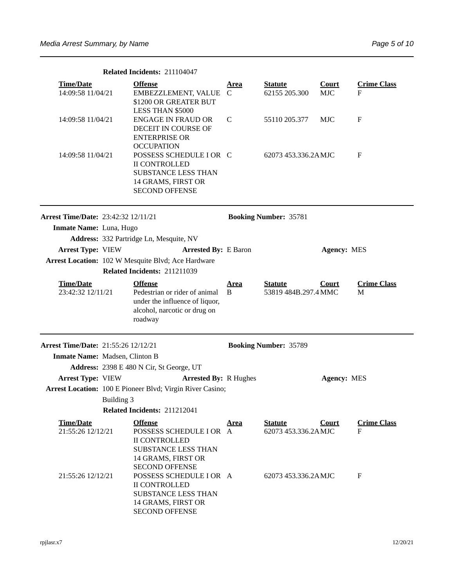|                                            | Related Incidents: 211104047                                                                                                                   |                  |                                        |                    |                         |
|--------------------------------------------|------------------------------------------------------------------------------------------------------------------------------------------------|------------------|----------------------------------------|--------------------|-------------------------|
| <b>Time/Date</b>                           | <b>Offense</b>                                                                                                                                 | Area             | <b>Statute</b>                         | <b>Court</b>       | <b>Crime Class</b>      |
| 14:09:58 11/04/21                          | EMBEZZLEMENT, VALUE<br>\$1200 OR GREATER BUT<br>LESS THAN \$5000                                                                               | C                | 62155 205.300                          | <b>MJC</b>         | F                       |
| 14:09:58 11/04/21                          | <b>ENGAGE IN FRAUD OR</b><br>DECEIT IN COURSE OF<br><b>ENTERPRISE OR</b><br><b>OCCUPATION</b>                                                  | C                | 55110 205.377                          | <b>MJC</b>         | $\mathbf F$             |
| 14:09:58 11/04/21                          | POSSESS SCHEDULE I OR C<br><b>II CONTROLLED</b><br><b>SUBSTANCE LESS THAN</b><br>14 GRAMS, FIRST OR<br><b>SECOND OFFENSE</b>                   |                  | 62073 453.336.2AMJC                    |                    | $\mathbf F$             |
| <b>Arrest Time/Date: 23:42:32 12/11/21</b> |                                                                                                                                                |                  | <b>Booking Number: 35781</b>           |                    |                         |
| Inmate Name: Luna, Hugo                    |                                                                                                                                                |                  |                                        |                    |                         |
|                                            | Address: 332 Partridge Ln, Mesquite, NV                                                                                                        |                  |                                        |                    |                         |
| <b>Arrest Type: VIEW</b>                   | <b>Arrested By: E Baron</b>                                                                                                                    |                  |                                        | <b>Agency: MES</b> |                         |
|                                            | Arrest Location: 102 W Mesquite Blvd; Ace Hardware                                                                                             |                  |                                        |                    |                         |
|                                            | Related Incidents: 211211039                                                                                                                   |                  |                                        |                    |                         |
| <b>Time/Date</b><br>23:42:32 12/11/21      | <b>Offense</b><br>Pedestrian or rider of animal<br>under the influence of liquor,<br>alcohol, narcotic or drug on<br>roadway                   | <u>Area</u><br>B | <b>Statute</b><br>53819 484B.297.4 MMC | <b>Court</b>       | <b>Crime Class</b><br>M |
| <b>Arrest Time/Date: 21:55:26 12/12/21</b> |                                                                                                                                                |                  | <b>Booking Number: 35789</b>           |                    |                         |
| Inmate Name: Madsen, Clinton B             |                                                                                                                                                |                  |                                        |                    |                         |
|                                            | Address: 2398 E 480 N Cir, St George, UT                                                                                                       |                  |                                        |                    |                         |
| <b>Arrest Type: VIEW</b>                   | <b>Arrested By: R Hughes</b>                                                                                                                   |                  |                                        | <b>Agency: MES</b> |                         |
|                                            | Arrest Location: 100 E Pioneer Blvd; Virgin River Casino;                                                                                      |                  |                                        |                    |                         |
| Building 3                                 |                                                                                                                                                |                  |                                        |                    |                         |
|                                            | Related Incidents: 211212041                                                                                                                   |                  |                                        |                    |                         |
| <b>Time/Date</b><br>21:55:26 12/12/21      | <b>Offense</b><br>POSSESS SCHEDULE I OR A<br><b>II CONTROLLED</b><br><b>SUBSTANCE LESS THAN</b><br>14 GRAMS, FIRST OR<br><b>SECOND OFFENSE</b> | Area             | <b>Statute</b><br>62073 453.336.2AMJC  | <b>Court</b>       | <b>Crime Class</b><br>F |
| 21:55:26 12/12/21                          | POSSESS SCHEDULE I OR A<br><b>II CONTROLLED</b><br><b>SUBSTANCE LESS THAN</b><br>14 GRAMS, FIRST OR<br><b>SECOND OFFENSE</b>                   |                  | 62073 453.336.2AMJC                    |                    | F                       |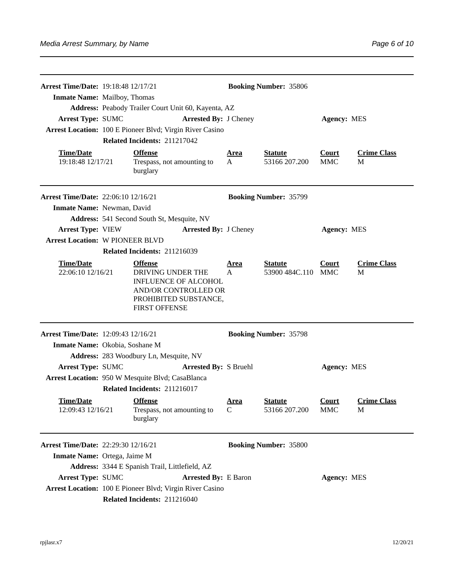| <b>Arrest Time/Date: 19:18:48 12/17/21</b> |                                                                                                                                             |                  | <b>Booking Number: 35806</b>         |                            |                         |
|--------------------------------------------|---------------------------------------------------------------------------------------------------------------------------------------------|------------------|--------------------------------------|----------------------------|-------------------------|
| <b>Inmate Name:</b> Mailboy, Thomas        |                                                                                                                                             |                  |                                      |                            |                         |
|                                            | Address: Peabody Trailer Court Unit 60, Kayenta, AZ                                                                                         |                  |                                      |                            |                         |
| <b>Arrest Type: SUMC</b>                   | <b>Arrested By: J Cheney</b>                                                                                                                |                  |                                      | <b>Agency: MES</b>         |                         |
|                                            | Arrest Location: 100 E Pioneer Blvd; Virgin River Casino                                                                                    |                  |                                      |                            |                         |
|                                            | Related Incidents: 211217042                                                                                                                |                  |                                      |                            |                         |
| <b>Time/Date</b><br>19:18:48 12/17/21      | <b>Offense</b><br>Trespass, not amounting to<br>burglary                                                                                    | <u>Area</u><br>A | <b>Statute</b><br>53166 207.200      | <b>Court</b><br><b>MMC</b> | <b>Crime Class</b><br>M |
| Arrest Time/Date: 22:06:10 12/16/21        |                                                                                                                                             |                  | <b>Booking Number: 35799</b>         |                            |                         |
| Inmate Name: Newman, David                 |                                                                                                                                             |                  |                                      |                            |                         |
|                                            | Address: 541 Second South St, Mesquite, NV                                                                                                  |                  |                                      |                            |                         |
| <b>Arrest Type: VIEW</b>                   | <b>Arrested By: J Cheney</b>                                                                                                                |                  |                                      | <b>Agency: MES</b>         |                         |
| <b>Arrest Location: W PIONEER BLVD</b>     |                                                                                                                                             |                  |                                      |                            |                         |
|                                            | Related Incidents: 211216039                                                                                                                |                  |                                      |                            |                         |
| <b>Time/Date</b><br>22:06:10 12/16/21      | <b>Offense</b><br>DRIVING UNDER THE<br><b>INFLUENCE OF ALCOHOL</b><br>AND/OR CONTROLLED OR<br>PROHIBITED SUBSTANCE,<br><b>FIRST OFFENSE</b> | <u>Area</u><br>A | <b>Statute</b><br>53900 484C.110 MMC | <b>Court</b>               | <b>Crime Class</b><br>M |
| <b>Arrest Time/Date: 12:09:43 12/16/21</b> |                                                                                                                                             |                  | <b>Booking Number: 35798</b>         |                            |                         |
| Inmate Name: Okobia, Soshane M             | Address: 283 Woodbury Ln, Mesquite, NV                                                                                                      |                  |                                      |                            |                         |
| <b>Arrest Type: SUMC</b>                   | <b>Arrested By: S Bruehl</b>                                                                                                                |                  |                                      | <b>Agency: MES</b>         |                         |
|                                            | Arrest Location: 950 W Mesquite Blvd; CasaBlanca                                                                                            |                  |                                      |                            |                         |
|                                            | Related Incidents: 211216017                                                                                                                |                  |                                      |                            |                         |
| <b>Time/Date</b><br>12:09:43 12/16/21      | <b>Offense</b><br>Trespass, not amounting to<br>burglary                                                                                    | Area<br>C        | <b>Statute</b><br>53166 207.200      | Court<br><b>MMC</b>        | <b>Crime Class</b><br>M |
| <b>Arrest Time/Date: 22:29:30 12/16/21</b> |                                                                                                                                             |                  | <b>Booking Number: 35800</b>         |                            |                         |
| Inmate Name: Ortega, Jaime M               |                                                                                                                                             |                  |                                      |                            |                         |
|                                            | Address: 3344 E Spanish Trail, Littlefield, AZ                                                                                              |                  |                                      |                            |                         |
| <b>Arrest Type: SUMC</b>                   | <b>Arrested By: E Baron</b>                                                                                                                 |                  |                                      | <b>Agency: MES</b>         |                         |
|                                            | Arrest Location: 100 E Pioneer Blvd; Virgin River Casino                                                                                    |                  |                                      |                            |                         |
|                                            | Related Incidents: 211216040                                                                                                                |                  |                                      |                            |                         |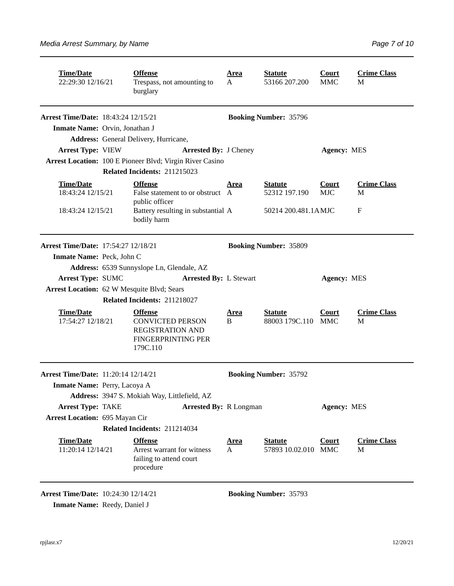| <b>Time/Date</b><br>22:29:30 12/16/21                                         | <b>Offense</b><br>Trespass, not amounting to<br>burglary                                                      | <u>Area</u><br>A            | <b>Statute</b><br>53166 207.200       | <b>Court</b><br><b>MMC</b> | <b>Crime Class</b><br>M |
|-------------------------------------------------------------------------------|---------------------------------------------------------------------------------------------------------------|-----------------------------|---------------------------------------|----------------------------|-------------------------|
| <b>Arrest Time/Date: 18:43:24 12/15/21</b>                                    |                                                                                                               |                             | <b>Booking Number: 35796</b>          |                            |                         |
| Inmate Name: Orvin, Jonathan J                                                |                                                                                                               |                             |                                       |                            |                         |
|                                                                               | Address: General Delivery, Hurricane,                                                                         |                             |                                       |                            |                         |
| <b>Arrest Type: VIEW</b>                                                      | <b>Arrested By: J Cheney</b>                                                                                  |                             |                                       | <b>Agency: MES</b>         |                         |
|                                                                               | Arrest Location: 100 E Pioneer Blvd; Virgin River Casino                                                      |                             |                                       |                            |                         |
|                                                                               | Related Incidents: 211215023                                                                                  |                             |                                       |                            |                         |
| <b>Time/Date</b><br>18:43:24 12/15/21                                         | <b>Offense</b><br>False statement to or obstruct A<br>public officer                                          | Area                        | <b>Statute</b><br>52312 197.190       | <b>Court</b><br><b>MJC</b> | <b>Crime Class</b><br>M |
| 18:43:24 12/15/21                                                             | Battery resulting in substantial A<br>bodily harm                                                             |                             | 50214 200.481.1AMJC                   |                            | $\mathbf F$             |
| <b>Arrest Time/Date: 17:54:27 12/18/21</b>                                    |                                                                                                               |                             | <b>Booking Number: 35809</b>          |                            |                         |
| Inmate Name: Peck, John C                                                     |                                                                                                               |                             |                                       |                            |                         |
|                                                                               | Address: 6539 Sunnyslope Ln, Glendale, AZ<br><b>Arrested By: L Stewart</b>                                    |                             |                                       |                            |                         |
| <b>Arrest Type: SUMC</b><br><b>Arrest Location: 62 W Mesquite Blvd; Sears</b> |                                                                                                               |                             |                                       | <b>Agency: MES</b>         |                         |
|                                                                               | Related Incidents: 211218027                                                                                  |                             |                                       |                            |                         |
|                                                                               |                                                                                                               |                             |                                       |                            |                         |
| <b>Time/Date</b><br>17:54:27 12/18/21                                         | <b>Offense</b><br><b>CONVICTED PERSON</b><br><b>REGISTRATION AND</b><br><b>FINGERPRINTING PER</b><br>179C.110 | <u>Area</u><br>B            | <b>Statute</b><br>88003 179C.110 MMC  | <b>Court</b>               | <b>Crime Class</b><br>M |
| <b>Arrest Time/Date: 11:20:14 12/14/21</b>                                    |                                                                                                               |                             | <b>Booking Number: 35792</b>          |                            |                         |
| Inmate Name: Perry, Lacoya A                                                  |                                                                                                               |                             |                                       |                            |                         |
|                                                                               | Address: 3947 S. Mokiah Way, Littlefield, AZ                                                                  |                             |                                       |                            |                         |
| <b>Arrest Type: TAKE</b>                                                      | <b>Arrested By: R Longman</b>                                                                                 |                             |                                       | <b>Agency: MES</b>         |                         |
| <b>Arrest Location: 695 Mayan Cir</b>                                         |                                                                                                               |                             |                                       |                            |                         |
|                                                                               | Related Incidents: 211214034                                                                                  |                             |                                       |                            |                         |
| <b>Time/Date</b><br>11:20:14 12/14/21                                         | <b>Offense</b><br>Arrest warrant for witness<br>failing to attend court<br>procedure                          | <u>Area</u><br>$\mathbf{A}$ | <b>Statute</b><br>57893 10.02.010 MMC | <b>Court</b>               | <b>Crime Class</b><br>M |

**Arrest Time/Date:** 10:24:30 12/14/21 **Booking Number:** 35793

**Inmate Name:** Reedy, Daniel J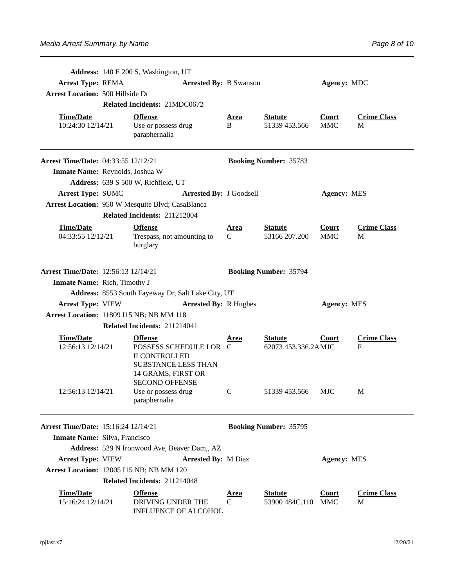|                                            | Address: 140 E 200 S, Washington, UT                                                                                                           |                  |                                       |                            |                         |
|--------------------------------------------|------------------------------------------------------------------------------------------------------------------------------------------------|------------------|---------------------------------------|----------------------------|-------------------------|
| <b>Arrest Type: REMA</b>                   | <b>Arrested By: B Swanson</b>                                                                                                                  |                  |                                       | Agency: MDC                |                         |
| <b>Arrest Location: 500 Hillside Dr</b>    |                                                                                                                                                |                  |                                       |                            |                         |
|                                            | Related Incidents: 21MDC0672                                                                                                                   |                  |                                       |                            |                         |
| <b>Time/Date</b><br>10:24:30 12/14/21      | <b>Offense</b><br>Use or possess drug<br>paraphernalia                                                                                         | <u>Area</u><br>B | <b>Statute</b><br>51339 453.566       | <b>Court</b><br><b>MMC</b> | <b>Crime Class</b><br>M |
| <b>Arrest Time/Date: 04:33:55 12/12/21</b> |                                                                                                                                                |                  | <b>Booking Number: 35783</b>          |                            |                         |
| Inmate Name: Reynolds, Joshua W            |                                                                                                                                                |                  |                                       |                            |                         |
|                                            | Address: 639 S 500 W, Richfield, UT                                                                                                            |                  |                                       |                            |                         |
| <b>Arrest Type: SUMC</b>                   | <b>Arrested By: J Goodsell</b>                                                                                                                 |                  |                                       | <b>Agency: MES</b>         |                         |
|                                            | Arrest Location: 950 W Mesquite Blvd; CasaBlanca                                                                                               |                  |                                       |                            |                         |
|                                            | Related Incidents: 211212004                                                                                                                   |                  |                                       |                            |                         |
| <b>Time/Date</b><br>04:33:55 12/12/21      | <b>Offense</b><br>Trespass, not amounting to<br>burglary                                                                                       | <b>Area</b><br>C | <b>Statute</b><br>53166 207.200       | Court<br><b>MMC</b>        | <b>Crime Class</b><br>M |
| Arrest Time/Date: 12:56:13 12/14/21        |                                                                                                                                                |                  | <b>Booking Number: 35794</b>          |                            |                         |
| <b>Inmate Name:</b> Rich, Timothy J        |                                                                                                                                                |                  |                                       |                            |                         |
|                                            | Address: 8553 South Fayeway Dr, Salt Lake City, UT                                                                                             |                  |                                       |                            |                         |
| <b>Arrest Type: VIEW</b>                   | <b>Arrested By: R Hughes</b>                                                                                                                   |                  |                                       | <b>Agency: MES</b>         |                         |
| Arrest Location: 11809 I15 NB; NB MM 118   |                                                                                                                                                |                  |                                       |                            |                         |
|                                            | Related Incidents: 211214041                                                                                                                   |                  |                                       |                            |                         |
| <b>Time/Date</b><br>12:56:13 12/14/21      | <b>Offense</b><br>POSSESS SCHEDULE I OR C<br><b>II CONTROLLED</b><br><b>SUBSTANCE LESS THAN</b><br>14 GRAMS, FIRST OR<br><b>SECOND OFFENSE</b> | Area             | <b>Statute</b><br>62073 453.336.2AMJC | Court                      | <b>Crime Class</b><br>F |
| 12:56:13 12/14/21                          | Use or possess drug<br>paraphernalia                                                                                                           | C                | 51339 453.566                         | <b>MJC</b>                 | M                       |
| <b>Arrest Time/Date: 15:16:24 12/14/21</b> |                                                                                                                                                |                  | <b>Booking Number: 35795</b>          |                            |                         |
| Inmate Name: Silva, Francisco              |                                                                                                                                                |                  |                                       |                            |                         |
|                                            | Address: 529 N Ironwood Ave, Beaver Dam,, AZ                                                                                                   |                  |                                       |                            |                         |
| <b>Arrest Type: VIEW</b>                   | <b>Arrested By: M Diaz</b>                                                                                                                     |                  |                                       | <b>Agency: MES</b>         |                         |
| Arrest Location: 12005 I15 NB; NB MM 120   |                                                                                                                                                |                  |                                       |                            |                         |
|                                            | Related Incidents: 211214048                                                                                                                   |                  |                                       |                            |                         |
| <b>Time/Date</b><br>15:16:24 12/14/21      | <b>Offense</b><br>DRIVING UNDER THE<br><b>INFLUENCE OF ALCOHOL</b>                                                                             | Area<br>C        | <b>Statute</b><br>53900 484C.110      | Court<br><b>MMC</b>        | <b>Crime Class</b><br>М |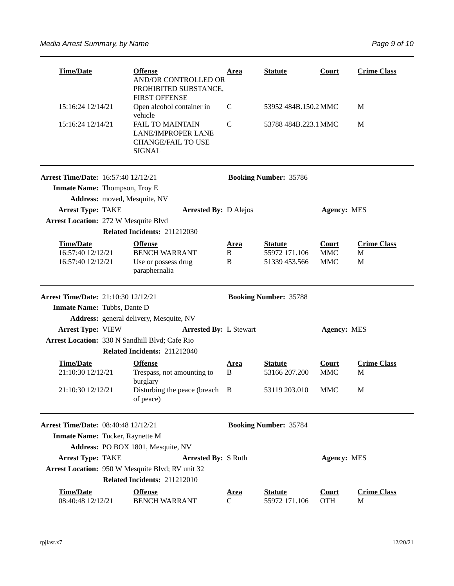| <b>Time/Date</b>                                                            | <b>Offense</b><br><b>AND/OR CONTROLLED OR</b><br>PROHIBITED SUBSTANCE,                      | <u>Area</u>           | <b>Statute</b>                                   | <b>Court</b>                             | <b>Crime Class</b>           |
|-----------------------------------------------------------------------------|---------------------------------------------------------------------------------------------|-----------------------|--------------------------------------------------|------------------------------------------|------------------------------|
| 15:16:24 12/14/21                                                           | <b>FIRST OFFENSE</b><br>Open alcohol container in<br>vehicle                                | C                     | 53952 484B.150.2 MMC                             |                                          | M                            |
| 15:16:24 12/14/21                                                           | <b>FAIL TO MAINTAIN</b><br><b>LANE/IMPROPER LANE</b><br><b>CHANGE/FAIL TO USE</b><br>SIGNAL | C                     | 53788 484B.223.1 MMC                             |                                          | M                            |
| <b>Arrest Time/Date: 16:57:40 12/12/21</b><br>Inmate Name: Thompson, Troy E | Address: moved, Mesquite, NV                                                                |                       | <b>Booking Number: 35786</b>                     |                                          |                              |
| <b>Arrest Type: TAKE</b>                                                    | <b>Arrested By: D Alejos</b>                                                                |                       |                                                  | <b>Agency: MES</b>                       |                              |
| <b>Arrest Location: 272 W Mesquite Blvd</b>                                 |                                                                                             |                       |                                                  |                                          |                              |
|                                                                             | Related Incidents: 211212030                                                                |                       |                                                  |                                          |                              |
| <b>Time/Date</b><br>16:57:40 12/12/21<br>16:57:40 12/12/21                  | <b>Offense</b><br><b>BENCH WARRANT</b><br>Use or possess drug<br>paraphernalia              | <u>Area</u><br>B<br>B | <b>Statute</b><br>55972 171.106<br>51339 453.566 | <b>Court</b><br><b>MMC</b><br><b>MMC</b> | <b>Crime Class</b><br>M<br>M |
|                                                                             |                                                                                             |                       |                                                  |                                          |                              |
|                                                                             |                                                                                             |                       |                                                  |                                          |                              |
| <b>Arrest Time/Date: 21:10:30 12/12/21</b>                                  |                                                                                             |                       | <b>Booking Number: 35788</b>                     |                                          |                              |
| Inmate Name: Tubbs, Dante D                                                 |                                                                                             |                       |                                                  |                                          |                              |
| <b>Arrest Type: VIEW</b>                                                    | Address: general delivery, Mesquite, NV<br><b>Arrested By: L Stewart</b>                    |                       |                                                  | <b>Agency: MES</b>                       |                              |
|                                                                             | Arrest Location: 330 N Sandhill Blvd; Cafe Rio                                              |                       |                                                  |                                          |                              |
|                                                                             | Related Incidents: 211212040                                                                |                       |                                                  |                                          |                              |
| <b>Time/Date</b><br>21:10:30 12/12/21                                       | <b>Offense</b><br>Trespass, not amounting to                                                | <u>Area</u><br>B      | <b>Statute</b><br>53166 207.200                  | <b>Court</b><br><b>MMC</b>               | <b>Crime Class</b><br>M      |
| 21:10:30 12/12/21                                                           | burglary<br>Disturbing the peace (breach<br>of peace)                                       | B                     | 53119 203.010                                    | MMC                                      | М                            |
| <b>Arrest Time/Date: 08:40:48 12/12/21</b>                                  |                                                                                             |                       | <b>Booking Number: 35784</b>                     |                                          |                              |
| Inmate Name: Tucker, Raynette M                                             |                                                                                             |                       |                                                  |                                          |                              |
|                                                                             | Address: PO BOX 1801, Mesquite, NV                                                          |                       |                                                  |                                          |                              |
| <b>Arrest Type: TAKE</b>                                                    | <b>Arrested By: S Ruth</b>                                                                  |                       |                                                  | <b>Agency: MES</b>                       |                              |
|                                                                             | Arrest Location: 950 W Mesquite Blvd; RV unit 32                                            |                       |                                                  |                                          |                              |
|                                                                             | Related Incidents: 211212010                                                                |                       |                                                  |                                          |                              |